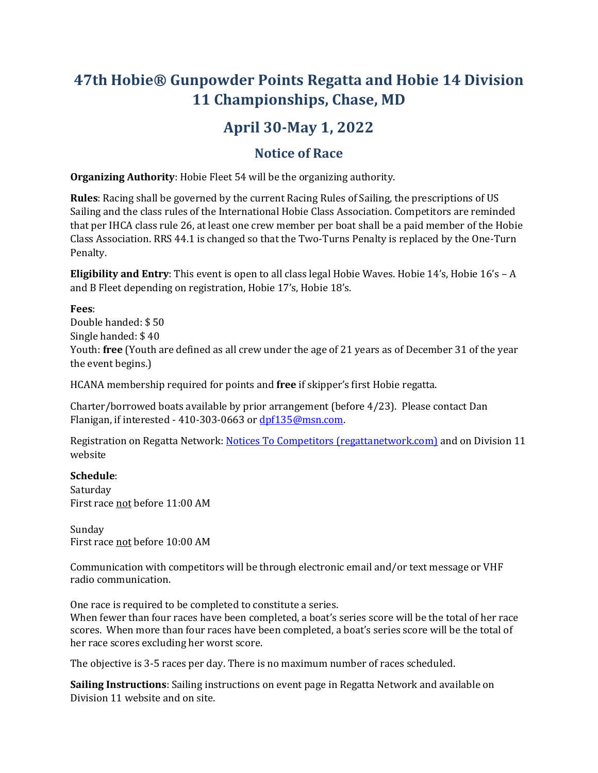# **47th Hobie® Gunpowder Points Regatta and Hobie 14 Division 11 Championships, Chase, MD**

## **April 30-May 1, 2022**

### **Notice of Race**

**Organizing Authority**: Hobie Fleet 54 will be the organizing authority.

**Rules**: Racing shall be governed by the current Racing Rules of Sailing, the prescriptions of US Sailing and the class rules of the International Hobie Class Association. Competitors are reminded that per IHCA class rule 26, at least one crew member per boat shall be a paid member of the Hobie Class Association. RRS 44.1 is changed so that the Two-Turns Penalty is replaced by the One-Turn Penalty.

**Eligibility and Entry**: This event is open to all class legal Hobie Waves. Hobie 14's, Hobie 16's - A and B Fleet depending on registration, Hobie 17's, Hobie 18's.

#### **Fees**:

Double handed: \$ 50 Single handed: \$ 40 Youth: **free** (Youth are defined as all crew under the age of 21 years as of December 31 of the year the event begins.)

HCANA membership required for points and **free** if skipper's first Hobie regatta.

Charter/borrowed boats available by prior arrangement (before 4/23). Please contact Dan Flanigan, if interested - 410-303-0663 or [dpf135@msn.com.](mailto:dpf135@msn.com)

Registration on Regatta Network[: Notices To Competitors \(regattanetwork.com\)](https://www.regattanetwork.com/clubmgmt/applet_notice_board.php?regatta_id=22231) and on Division 11 website

#### **Schedule**:

Saturday First race not before 11:00 AM

Sunday First race not before 10:00 AM

Communication with competitors will be through electronic email and/or text message or VHF radio communication.

One race is required to be completed to constitute a series.

When fewer than four races have been completed, a boat's series score will be the total of her race scores. When more than four races have been completed, a boat's series score will be the total of her race scores excluding her worst score.

The objective is 3-5 races per day. There is no maximum number of races scheduled.

**Sailing Instructions**: Sailing instructions on event page in Regatta Network and available on Division 11 website and on site.